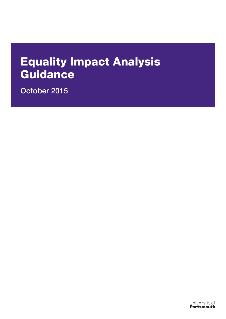# Equality Impact Analysis **Guidance**

October 2015

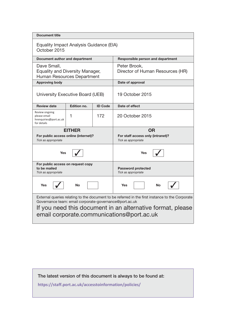| <b>Document title</b>                                                                                                                                                                                                                                                |               |                |                                                          |  |  |  |
|----------------------------------------------------------------------------------------------------------------------------------------------------------------------------------------------------------------------------------------------------------------------|---------------|----------------|----------------------------------------------------------|--|--|--|
| Equality Impact Analysis Guidance (EIA)<br>October 2015                                                                                                                                                                                                              |               |                |                                                          |  |  |  |
| Document author and department                                                                                                                                                                                                                                       |               |                | Responsible person and department                        |  |  |  |
| Dave Small,<br><b>Equality and Diversity Manager,</b><br>Human Resources Department                                                                                                                                                                                  |               |                | Peter Brook,<br>Director of Human Resources (HR)         |  |  |  |
| <b>Approving body</b>                                                                                                                                                                                                                                                |               |                | Date of approval                                         |  |  |  |
| University Executive Board (UEB)                                                                                                                                                                                                                                     |               |                | 19 October 2015                                          |  |  |  |
| <b>Review date</b>                                                                                                                                                                                                                                                   | Edition no.   | <b>ID Code</b> | Date of effect                                           |  |  |  |
| Review ongoing<br>please email<br>hrenquiries@port.ac.uk<br>for details                                                                                                                                                                                              | 1             | 172            | 20 October 2015                                          |  |  |  |
|                                                                                                                                                                                                                                                                      | <b>EITHER</b> |                | OR                                                       |  |  |  |
| For public access online (internet)?<br>Tick as appropriate                                                                                                                                                                                                          |               |                | For staff access only (intranet)?<br>Tick as appropriate |  |  |  |
| <b>Yes</b>                                                                                                                                                                                                                                                           |               |                | <b>Yes</b>                                               |  |  |  |
| For public access on request copy<br>to be mailed<br>Tick as appropriate                                                                                                                                                                                             |               |                | <b>Password protected</b><br>Tick as appropriate         |  |  |  |
| <b>Yes</b><br><b>No</b>                                                                                                                                                                                                                                              |               |                | <b>Yes</b><br>No                                         |  |  |  |
| External queries relating to the document to be referred in the first instance to the Corporate<br>Governance team: email corporate-governance@port.ac.uk<br>If you need this document in an alternative format, please<br>email corporate.communications@port.ac.uk |               |                |                                                          |  |  |  |

The latest version of this document is always to be found at:

**https://staff.port.ac.uk/accesstoinformation/policies/**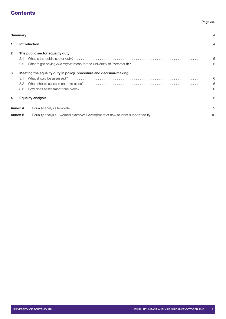# **Contents**

### *Page no.*

| $\mathbf{1}$ . |     |                                                                    |  |
|----------------|-----|--------------------------------------------------------------------|--|
| 2.             |     | The public sector equality duty                                    |  |
|                |     |                                                                    |  |
|                |     |                                                                    |  |
| 3.             |     | Meeting the equality duty in policy, procedure and decision-making |  |
|                | 3.1 |                                                                    |  |
|                | 3.2 |                                                                    |  |
|                |     |                                                                    |  |
| 4.             |     |                                                                    |  |
| <b>Annex A</b> |     |                                                                    |  |
| <b>Annex B</b> |     |                                                                    |  |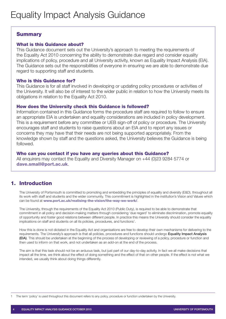# <span id="page-3-0"></span>**Summary**

## What is this Guidance about?

This Guidance document sets out the University's approach to meeting the requirements of the Equality Act 2010 concerning the ability to demonstrate due regard and consider equality implications of policy, procedure and all University activity, known as Equality Impact Analysis (EIA). The Guidance sets out the responsibilities of everyone in ensuring we are able to demonstrate due regard to supporting staff and students.

## Who is this Guidance for?

This Guidance is for all staff involved in developing or updating policy procedures or activities of the University. It will also be of interest to the wider public in relation to how the University meets its obligations in relation to the Equality Act 2010.

## How does the University check this Guidance is followed?

Information contained in this Guidance forms the procedure staff are required to follow to ensure an appropriate EIA is undertaken and equality considerations are included in policy development. This is a requirement before any committee or UEB sign-off of policy or procedure. The University encourages staff and students to raise questions about an EIA and to report any issues or concerns they may have that their needs are not being supported appropriately. From the knowledge shown by staff and the questions asked, the University believes the Guidance is being followed.

## Who can you contact if you have any queries about this Guidance?

All enquirers may contact the Equality and Diversity Manager on +44 (0)23 9284 5774 or [dave.small@port.ac.uk](mailto:dave.small@port.ac.uk).

# <span id="page-3-1"></span>1. Introduction

The University of Portsmouth is committed to promoting and embedding the principles of equality and diversity (E&D), throughout all its work with staff and students and the wider community. This commitment is highlighted in the institution's Vision and Values which can be found at [www.port.ac.uk/realising-the-vision/the-way-we-work/](http://www.port.ac.uk/realising-the-vision/the-way-we-work/).

The University, through the requirements of the Equality Act 2010 (Public Duty), is required to be able to demonstrate that commitment in all policy and decision-making matters through considering 'due regard' to eliminate discrimination, promote equality of opportunity and foster good relations between different people. In practice this means the University should consider the equality implications on staff and students on all its policies, procedures, and functions<sup>1</sup>.

How this is done is not dictated in the Equality Act and organisations are free to develop their own mechanisms for delivering to the requirements. The University's approach is that all policies, procedures and functions should undergo Equality Impact Analysis (EIA). This should be undertaken at the beginning of the process of developing or reviewing of a policy, procedure or function and then used to inform on that work, and not undertaken as an add-on at the end of the process.

The aim is that this task should not be an arduous task, but just part of our day-to-day activity. In fact we all make decisions that impact all the time, we think about the effect of doing something and the effect of that on other people. If the effect is not what we intended, we usually think about doing things differently.

1 The term 'policy' is used throughout this document refers to any policy, procedure or function undertaken by the University.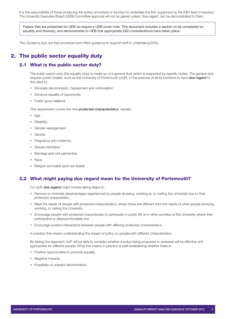It is the responsibility of those producing the policy, procedure or function to undertake the EIA, supported by the E&D team if required. The University Executive Board (UEB)/Committee approval will not be gained unless 'due regard' can be demonstrated to them.

Papers that are presented for UEB do require a UEB cover note. This document includes a section to be completed on equality and diversity, and demonstrates to UEB that appropriate E&D considerations have taken place.

This Guidance lays out that procedure and offers guidance to support staff in undertaking EIA's.

# <span id="page-4-0"></span>2. The public sector equality duty

## <span id="page-4-1"></span>2.1 What is the public sector duty?

The public sector duty (the equality duty) is made up of a general duty which is supported by specific duties. The general duty requires public bodies, such as the University of Portsmouth (UoP), in the exercise of all its functions to have *due regard* to the need to:

- Eliminate discrimination, harassment and victimisation
- Advance equality of opportunity
- Foster good relations

This requirement covers the nine *protected characteristics*, namely:

- Age
- Disability
- Gender reassignment
- Gender
- Pregnancy and maternity
- Sexual orientation
- Marriage and civil partnership
- Race
- Religion and belief (and non-belief)

## <span id="page-4-2"></span>2.2 What might paying *due regard* mean for the University of Portsmouth?

For UoP, *due regard* might involve taking steps to:

- Remove or minimise disadvantages experienced by people studying, working at, or visiting the University due to their protected characteristic.
- Meet the needs of people with protected characteristics, where these are different from the needs of other people studying, working, or visiting the University.
- Encourage people with protected characterises to participate in public life or in other activities at the University where their participation is disproportionately low.
- Encourage positive interactions between people with differing protected characteristics.

In practice this means understanding the impact of policy on people with different characteristics.

By taking this approach UoP will be able to consider whether a policy being proposed or reviewed will be effective and appropriate for different people. What this means in practice is staff establishing whether there is:

- Positive opportunities to promote equality
- Negative impacts
- Possibility of unlawful discrimination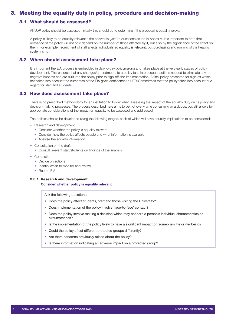# <span id="page-5-0"></span>3. Meeting the equality duty in policy, procedure and decision-making

## <span id="page-5-1"></span>3.1 What should be assessed?

All UoP policy should be assessed. Initially this should be to determine if the proposal is equality relevant.

A policy is likely to be equality relevant if the answer is '*yes'* to questions asked in Annex A. It is important to note that relevance of the policy will not only depend on the number of those affected by it, but also by the significance of the effect on them. For example, recruitment of staff affects individuals so equality is relevant, but purchasing and running of the heating system is not.

## <span id="page-5-2"></span>3.2 When should assessment take place?

It is important the EIA process is embedded in day-to-day policymaking and takes place at the very early stages of policy development. This ensures that any changes/amendments to a policy take into account actions needed to eliminate any negative impacts and are built into the policy prior to sign-off and implementation. A final policy presented for sign-off which has taken into account the outcomes of the EIA gives confidence to UEB/Committees that the policy takes into account due regard for staff and students.

## <span id="page-5-3"></span>3.3 How does assessment take place?

There is no prescribed methodology for an institution to follow when assessing the impact of the equality duty on its policy and decision-making processes. The process described here aims to be not overly time consuming or arduous, but still allows for appropriate considerations of the impact on equality to be assessed and addressed.

The policies should be developed using the following stages, each of which will have equality implications to be considered:

- Research and development
	- Consider whether the policy is equality relevant
	- Consider how the policy affects people and what information is available
	- Analyse the equality information
- Consultation on the draft
	- Consult relevant staff/students on findings of the analysis
- Completion
	- Decide on actions
	- Identify when to monitor and review
	- Record EIA

#### 3.3.1 Research and development

**Consider whether policy is equality relevant**

Ask the following questions:

- Does the policy affect students, staff and those visiting the University?
- Does implementation of the policy involve 'face-to-face' contact?
- Does the policy involve making a decision which may concern a person's individual characteristics or circumstances?
- Is the implementation of the policy likely to have a significant impact on someone's life or wellbeing?
- Could the policy affect different protected groups differently?
- Are there concerns previously raised about the policy?
- Is there information indicating an adverse impact on a protected group?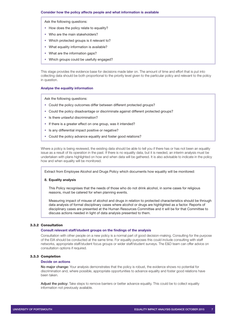Ask the following questions:

- How does the policy relate to equality?
- Who are the main stakeholders?
- Which protected groups is it relevant to?
- What equality information is available?
- What are the information gaps?
- Which groups could be usefully engaged?

This stage provides the evidence base for decisions made later on. The amount of time and effort that is put into collecting data should be both proportional to the priority level given to the particular policy and relevant to the policy in question.

#### **Analyse the equality information**

Ask the following questions:

- Could the policy outcomes differ between different protected groups?
- Could the policy disadvantage or discriminate against different protected groups?
- Is there unlawful discrimination?
- If there is a greater effect on one group, was it intended?
- Is any differential impact positive or negative?
- Could the policy advance equality and foster good relations?

Where a policy is being reviewed, the existing data should be able to tell you if there has or has not been an equality issue as a result of its operation in the past. If there is no equality data, but it is needed, an interim analysis must be undertaken with plans highlighted on how and when data will be gathered. It is also advisable to indicate in the policy how and when equality will be monitored.

Extract from Employee Alcohol and Drugs Policy which documents how equality will be monitored:

#### **8. Equality analysis**

This Policy recognises that the needs of those who do not drink alcohol, in some cases for religious reasons, must be catered for when planning events.

Measuring impact of misuse of alcohol and drugs in relation to protected characteristics should be through data analysis of formal disciplinary cases where alcohol or drugs are highlighted as a factor. Reports of disciplinary cases are presented at the Human Resources Committee and it will be for that Committee to discuss actions needed in light of data analysis presented to them.

#### 3.3.2 Consultation

#### **Consult relevant staff/student groups on the findings of the analysis**

Consultation with other people on a new policy is a normal part of good decision-making. Consulting for the purpose of the EIA should be conducted at the same time. For equality purposes this could include consulting with staff networks, appropriate staff/student focus groups or wider staff/student surveys. The E&D team can offer advice on consultation options if required.

#### 3.3.3 Completion

#### **Decide on actions**

No major change: Your analysis demonstrates that the policy is robust, the evidence shows no potential for discrimination and, where possible, appropriate opportunities to advance equality and foster good relations have been taken.

Adjust the policy: Take steps to remove barriers or better advance equality. This could be to collect equality information not previously available.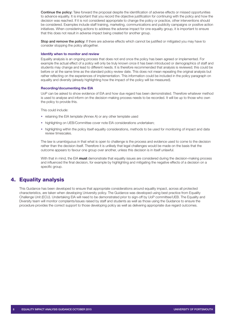Continue the policy: Take forward the proposal despite the identification of adverse effects or missed opportunities to advance equality. It is important that you record the objective justification for continuing with the policy and how the decision was reached. If it is not considered appropriate to change the policy or practice, other interventions should be considered. Examples include staff training, marketing, communications and publicity campaigns or positive action initiatives. When considering actions to address the adverse impact for one equality group, it is important to ensure that this does not result in adverse impact being created for another group.

Stop and remove the policy: If there are adverse effects which cannot be justified or mitigated you may have to consider stopping the policy altogether.

#### **Identify when to monitor and review**

Equality analysis is an ongoing process that does not end once the policy has been agreed or implemented. For example the actual effect of a policy will only be truly known once it has been introduced or demographics of staff and students may change and lead to different needs. It is therefore recommended that analysis is reviewed; this could be before or at the same time as the standard policy review date. This does not mean repeating the original analysis but rather reflecting on the experiences of implementation. This information could be included in the policy paragraph on equality and diversity (already highlighting how the impact of the policy will be measured).

#### **Recording/documenting the EIA**

UoP can be asked to show evidence of EIA and how due regard has been demonstrated. Therefore whatever method is used to analyse and inform on the decision-making process needs to be recorded. It will be up to those who own the policy to provide this.

This could include:

- retaining the EIA template (Annex A) or any other template used
- highlighting on UEB/Committee cover note EIA considerations undertaken;
- highlighting within the policy itself equality considerations, methods to be used for monitoring of impact and data review timescales.

The law is unambiguous in that what is open to challenge is the process and evidence used to come to the decision rather than the decision itself. Therefore it is unlikely that legal challenges would be made on the basis that the outcome appears to favour one group over another, unless this decision is in itself unlawful.

With that in mind, the EIA **must** demonstrate that equality issues are considered during the decision-making process and influenced the final decision, for example by highlighting and mitigating the negative effects of a decision on a specific group.

# <span id="page-7-0"></span>4. Equality analysis

This Guidance has been developed to ensure that appropriate considerations around equality impact, across all protected characteristics, are taken when developing University policy. The Guidance was developed using best practice from Equality Challenge Unit (ECU). Undertaking EIA will need to be demonstrated prior to sign-off by UoP committee/UEB. The Equality and Diversity team will monitor complaints/issues raised by staff and students as well as those using the Guidance to ensure the procedure provides the correct support to those developing policy as well as delivering appropriate due regard outcomes.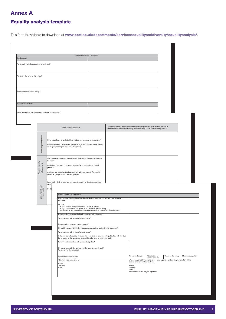# <span id="page-8-0"></span>Annex A

## Equality analysis template

This form is available to download at [www.port.ac.uk/departments/services/equalityanddiversity/equalityanalysis/](http://www.port.ac.uk/departments/services/equalityanddiversity/equalityanalysis/).

| Background                                                                                                                    |                                                                                                                                                                                                                        |                                                                                                                              |                                                                                                                                                                                                                                   | <b>Equality Assessment Template</b>                                                                                |                                                                                                                                                                         |                                   |                                     |                                            |                    |
|-------------------------------------------------------------------------------------------------------------------------------|------------------------------------------------------------------------------------------------------------------------------------------------------------------------------------------------------------------------|------------------------------------------------------------------------------------------------------------------------------|-----------------------------------------------------------------------------------------------------------------------------------------------------------------------------------------------------------------------------------|--------------------------------------------------------------------------------------------------------------------|-------------------------------------------------------------------------------------------------------------------------------------------------------------------------|-----------------------------------|-------------------------------------|--------------------------------------------|--------------------|
| What policy is being assessed or reviewed?                                                                                    |                                                                                                                                                                                                                        |                                                                                                                              |                                                                                                                                                                                                                                   |                                                                                                                    |                                                                                                                                                                         |                                   |                                     |                                            |                    |
|                                                                                                                               |                                                                                                                                                                                                                        |                                                                                                                              |                                                                                                                                                                                                                                   |                                                                                                                    |                                                                                                                                                                         |                                   |                                     |                                            |                    |
| What are the aims of the policy?                                                                                              |                                                                                                                                                                                                                        |                                                                                                                              |                                                                                                                                                                                                                                   |                                                                                                                    |                                                                                                                                                                         |                                   |                                     |                                            |                    |
|                                                                                                                               |                                                                                                                                                                                                                        |                                                                                                                              |                                                                                                                                                                                                                                   |                                                                                                                    |                                                                                                                                                                         |                                   |                                     |                                            |                    |
|                                                                                                                               | Who is affected by the policy?                                                                                                                                                                                         |                                                                                                                              |                                                                                                                                                                                                                                   |                                                                                                                    |                                                                                                                                                                         |                                   |                                     |                                            |                    |
| Equality Information                                                                                                          |                                                                                                                                                                                                                        |                                                                                                                              |                                                                                                                                                                                                                                   |                                                                                                                    |                                                                                                                                                                         |                                   |                                     |                                            |                    |
|                                                                                                                               | What information bas been used to inform on this notice                                                                                                                                                                |                                                                                                                              |                                                                                                                                                                                                                                   |                                                                                                                    |                                                                                                                                                                         |                                   |                                     |                                            |                    |
|                                                                                                                               |                                                                                                                                                                                                                        |                                                                                                                              |                                                                                                                                                                                                                                   |                                                                                                                    |                                                                                                                                                                         |                                   |                                     |                                            |                    |
|                                                                                                                               |                                                                                                                                                                                                                        |                                                                                                                              |                                                                                                                                                                                                                                   | Assess equality relevance                                                                                          | You should indicate whether or not the policy as positive/negative or no impact. If<br>assessed as no impact (no equality relevance) skip to the "completed by section" |                                   |                                     |                                            |                    |
| good relations<br>developing and impact assessing this policy?<br>To foster                                                   |                                                                                                                                                                                                                        |                                                                                                                              | Have steps been taken to tackle prejudice and promote understanding?<br>How have relevant individuals, groups or organisations been consulted in                                                                                  |                                                                                                                    |                                                                                                                                                                         |                                   |                                     |                                            |                    |
|                                                                                                                               | be met?<br>Advance equality<br>of opportunity<br>groups?<br>protected groups and/or between groups?                                                                                                                    |                                                                                                                              | Will the needs of staff and students with different protected characteristic<br>Could the policy lead to increased take-up/participation by protected<br>Are there any opportunities to proactively advance equality for specific |                                                                                                                    |                                                                                                                                                                         |                                   |                                     |                                            |                    |
|                                                                                                                               |                                                                                                                                                                                                                        |                                                                                                                              |                                                                                                                                                                                                                                   | Is the policy likely to treat anyone less favourably or disadvantage then                                          |                                                                                                                                                                         |                                   |                                     |                                            |                    |
|                                                                                                                               | Eliminate unlawful<br>discrimination                                                                                                                                                                                   | becau<br>Could                                                                                                               |                                                                                                                                                                                                                                   |                                                                                                                    |                                                                                                                                                                         |                                   |                                     |                                            |                    |
|                                                                                                                               |                                                                                                                                                                                                                        |                                                                                                                              |                                                                                                                                                                                                                                   | Decisions/Feedback/Approval<br>Demonstrate how any unlawful discrimination, harassment or victimisation is/will be |                                                                                                                                                                         |                                   |                                     |                                            |                    |
|                                                                                                                               |                                                                                                                                                                                                                        |                                                                                                                              |                                                                                                                                                                                                                                   | eliminated<br>Include:                                                                                             |                                                                                                                                                                         |                                   |                                     |                                            |                    |
|                                                                                                                               | - where negative impact is identified, action to reduce<br>- where none is identified, action to monitor/review in the future<br>- justification of any proportionate negative or positive impact for different groups |                                                                                                                              |                                                                                                                                                                                                                                   |                                                                                                                    |                                                                                                                                                                         |                                   |                                     |                                            |                    |
|                                                                                                                               | How equality of opportunity is/will be proactively advanced?                                                                                                                                                           |                                                                                                                              |                                                                                                                                                                                                                                   |                                                                                                                    |                                                                                                                                                                         |                                   |                                     |                                            |                    |
|                                                                                                                               | What changes will be made/actions taken?                                                                                                                                                                               |                                                                                                                              |                                                                                                                                                                                                                                   |                                                                                                                    |                                                                                                                                                                         |                                   |                                     |                                            |                    |
|                                                                                                                               | How are/will good relations be fostered?                                                                                                                                                                               |                                                                                                                              |                                                                                                                                                                                                                                   |                                                                                                                    |                                                                                                                                                                         |                                   |                                     |                                            |                    |
|                                                                                                                               |                                                                                                                                                                                                                        | How will relevant individuals, groups or organisations be involved or consulted?<br>What changes will be made/actions taken? |                                                                                                                                                                                                                                   |                                                                                                                    |                                                                                                                                                                         |                                   |                                     |                                            |                    |
|                                                                                                                               | If there is lack of equality data and the decision is to continue with policy how will this data                                                                                                                       |                                                                                                                              |                                                                                                                                                                                                                                   |                                                                                                                    |                                                                                                                                                                         |                                   |                                     |                                            |                    |
| be collected in the future and when will this be used to review the policy<br>Which board/committee will approve this policy? |                                                                                                                                                                                                                        |                                                                                                                              |                                                                                                                                                                                                                                   |                                                                                                                    |                                                                                                                                                                         |                                   |                                     |                                            |                    |
|                                                                                                                               |                                                                                                                                                                                                                        |                                                                                                                              |                                                                                                                                                                                                                                   | How and when will the assessment be monitored/reviewed?<br>Where is this documented?                               |                                                                                                                                                                         |                                   |                                     |                                            |                    |
|                                                                                                                               |                                                                                                                                                                                                                        |                                                                                                                              |                                                                                                                                                                                                                                   |                                                                                                                    |                                                                                                                                                                         |                                   |                                     |                                            |                    |
|                                                                                                                               |                                                                                                                                                                                                                        |                                                                                                                              |                                                                                                                                                                                                                                   | Summary of EIA outcome                                                                                             |                                                                                                                                                                         | No major change                   | Adjust policy to<br>remove barriers | Continue the policy                        | Stop/remove policy |
|                                                                                                                               |                                                                                                                                                                                                                        |                                                                                                                              |                                                                                                                                                                                                                                   | This form was completed by:                                                                                        |                                                                                                                                                                         | Who is responsible for monitoring |                                     | and reporting on the implementation of the |                    |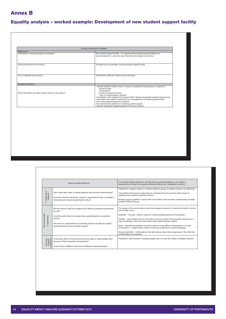# <span id="page-9-0"></span>Annex B

# Equality analysis – worked example: Development of new student support facility

|                                                          | <b>Equality Assessment Template</b>                                                                                                                                                                                                                                                                                                                                                                                                                                                                                                                      |
|----------------------------------------------------------|----------------------------------------------------------------------------------------------------------------------------------------------------------------------------------------------------------------------------------------------------------------------------------------------------------------------------------------------------------------------------------------------------------------------------------------------------------------------------------------------------------------------------------------------------------|
| Background                                               |                                                                                                                                                                                                                                                                                                                                                                                                                                                                                                                                                          |
| What policy is being assessed or reviewed?               | New student support facility - it is proposed that student support facilities are<br>accommodated in a new hub area. Reviewing the impact on students.                                                                                                                                                                                                                                                                                                                                                                                                   |
| What are the aims of the policy?                         | Provision of an accessible, inclusive student support facility                                                                                                                                                                                                                                                                                                                                                                                                                                                                                           |
| Who is affected by the policy?                           | All Students, Staff and Visitors to the University                                                                                                                                                                                                                                                                                                                                                                                                                                                                                                       |
| <b>Equality Information</b>                              |                                                                                                                                                                                                                                                                                                                                                                                                                                                                                                                                                          |
| What information has been used to inform on this policy? | - Student statistics broken down in respect of protected characteristics in respect of -<br>- Student profile<br>- Achievement<br>- Access to support services<br>- Type of enquiry/support required<br>-Consultation with students and support staff in respect of potential equality impact issues<br>-Information with regard to opening hours, arrangements for booking appointments<br>-ECU male student experience research<br>-Any research into barriers to accessing student support<br>-Student complaints regarding support and access issues |

|                                       | Assess equality relevance                                                                                                                                                                                                                                                                          | You should indicate whether or not the policy as positive/negative or no impact. If<br>assessed as no impact (no equality relevance) skip to the "completed by section"                                                                                                                                                                                                                                                                                                                                                                                                                                                                                                                      |  |  |  |
|---------------------------------------|----------------------------------------------------------------------------------------------------------------------------------------------------------------------------------------------------------------------------------------------------------------------------------------------------|----------------------------------------------------------------------------------------------------------------------------------------------------------------------------------------------------------------------------------------------------------------------------------------------------------------------------------------------------------------------------------------------------------------------------------------------------------------------------------------------------------------------------------------------------------------------------------------------------------------------------------------------------------------------------------------------|--|--|--|
| To foster good<br>relations           | Have steps been taken to tackle prejudice and promote understanding?<br>How have relevant individuals, groups or organisations been consulted in<br>developing and impact assessing this policy?                                                                                                   | Potential for negative impact on relations between groups if negative impacts not addressed<br>Consultation with groups to take place to understand how the service might impact on<br>relations and to explore potential solutions<br>Bringing groups together to consult with one another could increase understanding of needs<br>between different groups                                                                                                                                                                                                                                                                                                                                |  |  |  |
| equality<br>of opportunity<br>Advance | Will the needs of staff and students with different protected characteristic<br>be met?<br>Could the policy lead to increased take-up/participation by protected<br>aroups?<br>Are there any opportunities to proactively advance equality for specific<br>protected groups and/or between groups? | The design of the service space could have negative impacts on meeting the needs of and/or<br>service take up by:<br>Disability - if access needs in regard to vision/mobility/hearing not incorporated<br>Gender - male students can be less likely to access support if they perceive doing so as a<br>sign of weakness. Hub may mean fewer male students access support<br>Race - international students may find it easier to have difficult conversations in a quiet<br>environment - it might make it easier to hear and understand a second language<br>Sexual orientation - LGB students may feel anxious about discussing issues if they feel that<br>confidentially is not assured |  |  |  |
| Eliminate<br>unlawful<br>iscriminati  | Is the policy likely to treat anyone less favourably or disadvantage them<br>because of their protected characteristics?<br>Could it lead to different outcomes for different protected groups?                                                                                                    | Potential for discrimination if building design does not meet the needs of disabled students                                                                                                                                                                                                                                                                                                                                                                                                                                                                                                                                                                                                 |  |  |  |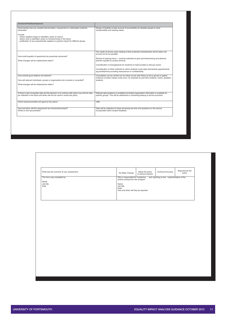| Decisions/Feedback/Approval                                                                                                                                                                                                                                                                                                             |                                                                                                                                                                                                                                                                                                                                                                                                                                                                                               |
|-----------------------------------------------------------------------------------------------------------------------------------------------------------------------------------------------------------------------------------------------------------------------------------------------------------------------------------------|-----------------------------------------------------------------------------------------------------------------------------------------------------------------------------------------------------------------------------------------------------------------------------------------------------------------------------------------------------------------------------------------------------------------------------------------------------------------------------------------------|
| Demonstrate how any unlawful discrimination, harassment or victimisation is/will be<br>eliminated<br>Include:<br>- where negative impact is identified, action to reduce<br>- where none is identified, action to monitor/review in the future<br>- justification of any proportionate negative or positive impact for different groups | Design of facilities to take account of accessibility for disabled people to meet<br>visual/mobility and hearing needs                                                                                                                                                                                                                                                                                                                                                                        |
| How is/will equality of opportunity be proactively advanced?<br>What changes will be made/actions taken?                                                                                                                                                                                                                                | The needs of service users relating to their protected characteristics will be taken into<br>account as far as possible.<br>Review of opening hours – could be extended to give part-time/evening and distance<br>learners equality to access services<br>Consideration of arrangements for students to meet privately to discuss issues<br>Consideration of other methods by which students could seek advice/book appointments<br>(eq email/phone) providing reassurance on confidentiality |
| How are/will good relations be fostered?<br>How will relevant individuals, groups or organisations be involved or consulted?<br>What changes will be made/actions taken?                                                                                                                                                                | Consultation can be carried out via online survey with follow up focus groups to gather<br>evidence of where impact could occur, for example for part-time students, carers, disabled<br>students                                                                                                                                                                                                                                                                                             |
| If there is lack of equality data and the decision is to continue with policy how will this data<br>be collected in the future and when will this be used to review the policy                                                                                                                                                          | National data guidance is available but limited organisation information is available for<br>specific groups. This will be addressed in monitoring/viewing of service provision                                                                                                                                                                                                                                                                                                               |
| Which board/committee will approve this policy?                                                                                                                                                                                                                                                                                         | <b>UFB</b>                                                                                                                                                                                                                                                                                                                                                                                                                                                                                    |
| How and when will the assessment be monitored/reviewed?<br>Where is this documented?                                                                                                                                                                                                                                                    | Data will be collected on those accessing services and questions on the service<br>incorporated within student feedback                                                                                                                                                                                                                                                                                                                                                                       |

| What was the outcome of your assessment            | No Major Change                                                          | Adjust the policy<br>to remove barriers    | Continue the policy | Stop/remove the<br>policy |  |
|----------------------------------------------------|--------------------------------------------------------------------------|--------------------------------------------|---------------------|---------------------------|--|
| This form was completed by:<br>Name:<br>Job title: | Who is responsible for monitoring<br>actions arising from this analysis: | and reporting on the implementation of the |                     |                           |  |
| Date                                               | Name:<br>Job title:<br>Date:<br>How and when will they be reported:      |                                            |                     |                           |  |
|                                                    |                                                                          |                                            |                     |                           |  |